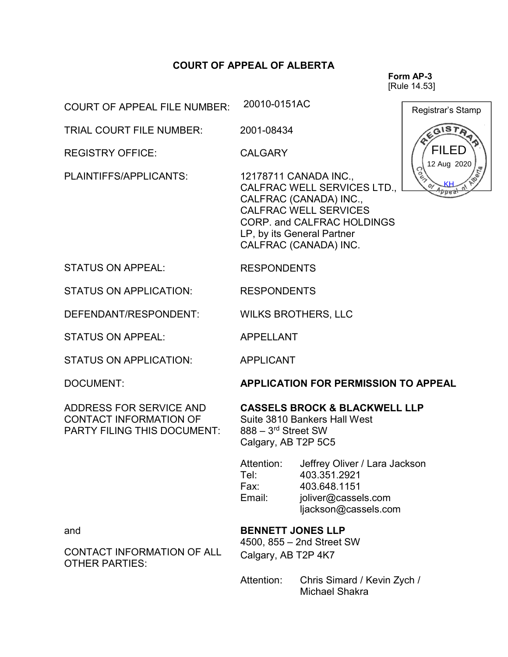## COURT OF APPEAL OF ALBERTA

Form AP-3 [Rule 14.53]

20010-0151AC<br>
Registrar's Stamp FILED 12 Aug 2020 Anna

COURT OF APPEAL FILE NUMBER:

TRIAL COURT FILE NUMBER: 2001-08434

REGISTRY OFFICE: CALGARY

PLAINTIFFS/APPLICANTS: 12178711 CANADA INC.,

CALFRAC WELL SERVICES LTD., CALFRAC (CANADA) INC., CALFRAC WELL SERVICES CORP. and CALFRAC HOLDINGS LP, by its General Partner CALFRAC (CANADA) INC.

STATUS ON APPEAL: RESPONDENTS

STATUS ON APPLICATION: RESPONDENTS

DEFENDANT/RESPONDENT: WILKS BROTHERS, LLC

STATUS ON APPEAL: APPELLANT

STATUS ON APPLICATION: APPLICANT

ADDRESS FOR SERVICE AND CONTACT INFORMATION OF PARTY FILING THIS DOCUMENT:

DOCUMENT: APPLICATION FOR PERMISSION TO APPEAL

## CASSELS BROCK & BLACKWELL LLP

Suite 3810 Bankers Hall West 888 – 3rd Street SW Calgary, AB T2P 5C5

Attention: Jeffrey Oliver / Lara Jackson Tel: 403.351.2921 Fax: 403.648.1151 Email: joliver@cassels.com ljackson@cassels.com

BENNETT JONES LLP

4500, 855 – 2nd Street SW Calgary, AB T2P 4K7

Attention: Chris Simard / Kevin Zych / Michael Shakra

and

CONTACT INFORMATION OF ALL OTHER PARTIES: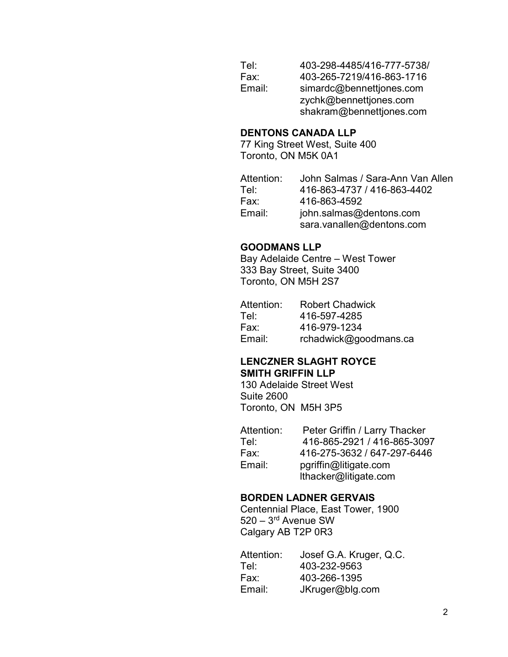| Tel:   | 403-298-4485/416-777-5738/ |
|--------|----------------------------|
| Fax:   | 403-265-7219/416-863-1716  |
| Email: | simardc@bennettjones.com   |
|        | zychk@bennettjones.com     |
|        | shakram@bennettjones.com   |

## DENTONS CANADA LLP

77 King Street West, Suite 400 Toronto, ON M5K 0A1

| Attention: | John Salmas / Sara-Ann Van Allen |
|------------|----------------------------------|
| Tel:       | 416-863-4737 / 416-863-4402      |
| Fax:       | 416-863-4592                     |
| Email:     | john.salmas@dentons.com          |
|            | sara.vanallen@dentons.com        |

## GOODMANS LLP

Bay Adelaide Centre – West Tower 333 Bay Street, Suite 3400 Toronto, ON M5H 2S7

| Attention: | <b>Robert Chadwick</b> |
|------------|------------------------|
| Tel:       | 416-597-4285           |
| Fax:       | 416-979-1234           |
| Email:     | rchadwick@goodmans.ca  |

## LENCZNER SLAGHT ROYCE SMITH GRIFFIN LLP

130 Adelaide Street West Suite 2600 Toronto, ON M5H 3P5

| Attention: | Peter Griffin / Larry Thacker |
|------------|-------------------------------|
| Tel:       | 416-865-2921 / 416-865-3097   |
| Fax:       | 416-275-3632 / 647-297-6446   |
| Email:     | pgriffin@litigate.com         |
|            | Ithacker@litigate.com         |

## BORDEN LADNER GERVAIS

Centennial Place, East Tower, 1900 520 – 3rd Avenue SW Calgary AB T2P 0R3

| Attention: | Josef G.A. Kruger, Q.C. |
|------------|-------------------------|
| Tel:       | 403-232-9563            |
| Fax:       | 403-266-1395            |
| Email:     | JKruger@blg.com         |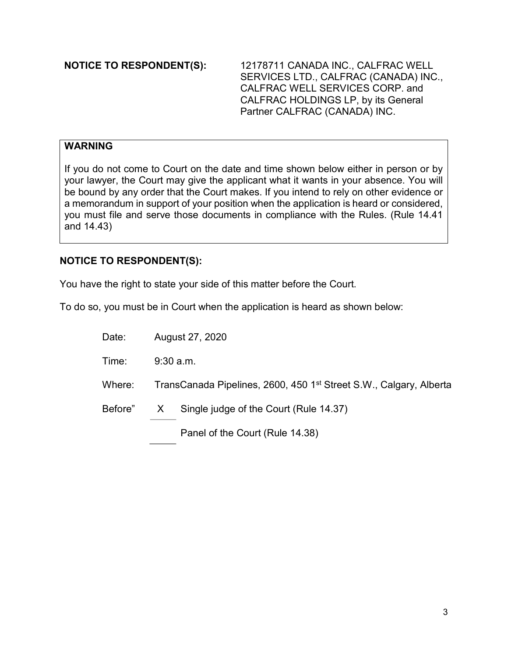NOTICE TO RESPONDENT(S): 12178711 CANADA INC., CALFRAC WELL SERVICES LTD., CALFRAC (CANADA) INC., CALFRAC WELL SERVICES CORP. and CALFRAC HOLDINGS LP, by its General Partner CALFRAC (CANADA) INC.

# WARNING

If you do not come to Court on the date and time shown below either in person or by your lawyer, the Court may give the applicant what it wants in your absence. You will be bound by any order that the Court makes. If you intend to rely on other evidence or a memorandum in support of your position when the application is heard or considered, you must file and serve those documents in compliance with the Rules. (Rule 14.41 and 14.43)

# NOTICE TO RESPONDENT(S):

You have the right to state your side of this matter before the Court.

To do so, you must be in Court when the application is heard as shown below:

Date: August 27, 2020

Time: 9:30 a.m.

Where: TransCanada Pipelines, 2600, 450 1<sup>st</sup> Street S.W., Calgary, Alberta

Before" X Single judge of the Court (Rule 14.37)

Panel of the Court (Rule 14.38)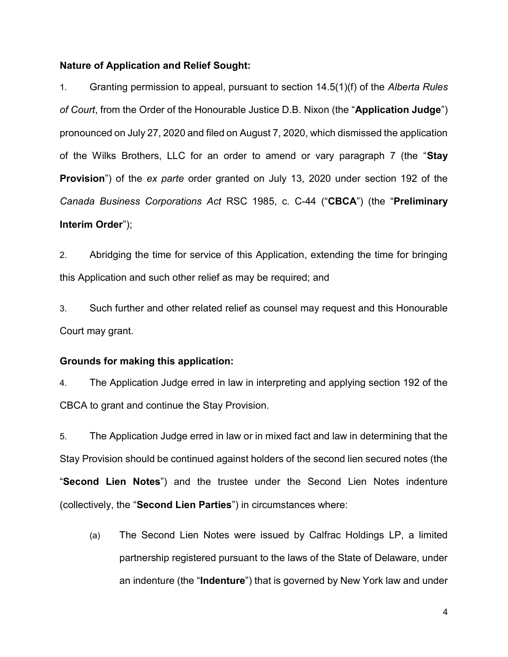## Nature of Application and Relief Sought:

1. Granting permission to appeal, pursuant to section 14.5(1)(f) of the Alberta Rules of Court, from the Order of the Honourable Justice D.B. Nixon (the "Application Judge") pronounced on July 27, 2020 and filed on August 7, 2020, which dismissed the application of the Wilks Brothers, LLC for an order to amend or vary paragraph 7 (the "Stay **Provision**") of the ex parte order granted on July 13, 2020 under section 192 of the Canada Business Corporations Act RSC 1985, c. C-44 ("CBCA") (the "Preliminary Interim Order");

2. Abridging the time for service of this Application, extending the time for bringing this Application and such other relief as may be required; and

3. Such further and other related relief as counsel may request and this Honourable Court may grant.

#### Grounds for making this application:

4. The Application Judge erred in law in interpreting and applying section 192 of the CBCA to grant and continue the Stay Provision.

5. The Application Judge erred in law or in mixed fact and law in determining that the Stay Provision should be continued against holders of the second lien secured notes (the "Second Lien Notes") and the trustee under the Second Lien Notes indenture (collectively, the "Second Lien Parties") in circumstances where:

(a) The Second Lien Notes were issued by Calfrac Holdings LP, a limited partnership registered pursuant to the laws of the State of Delaware, under an indenture (the "Indenture") that is governed by New York law and under

4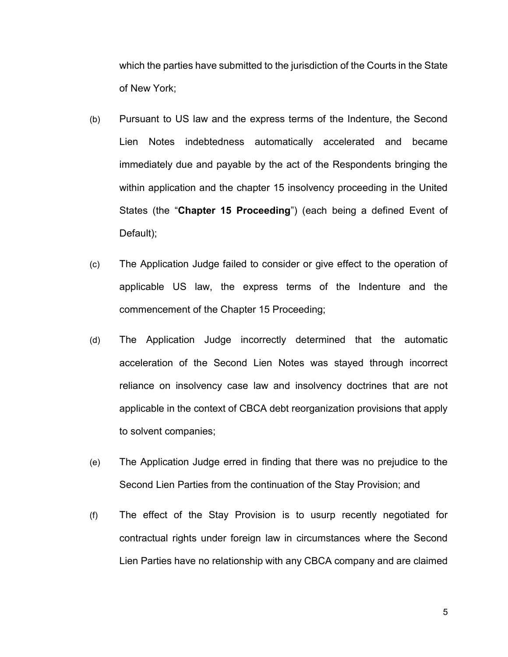which the parties have submitted to the jurisdiction of the Courts in the State of New York;

- (b) Pursuant to US law and the express terms of the Indenture, the Second Lien Notes indebtedness automatically accelerated and became immediately due and payable by the act of the Respondents bringing the within application and the chapter 15 insolvency proceeding in the United States (the "Chapter 15 Proceeding") (each being a defined Event of Default);
- (c) The Application Judge failed to consider or give effect to the operation of applicable US law, the express terms of the Indenture and the commencement of the Chapter 15 Proceeding;
- (d) The Application Judge incorrectly determined that the automatic acceleration of the Second Lien Notes was stayed through incorrect reliance on insolvency case law and insolvency doctrines that are not applicable in the context of CBCA debt reorganization provisions that apply to solvent companies;
- (e) The Application Judge erred in finding that there was no prejudice to the Second Lien Parties from the continuation of the Stay Provision; and
- (f) The effect of the Stay Provision is to usurp recently negotiated for contractual rights under foreign law in circumstances where the Second Lien Parties have no relationship with any CBCA company and are claimed

5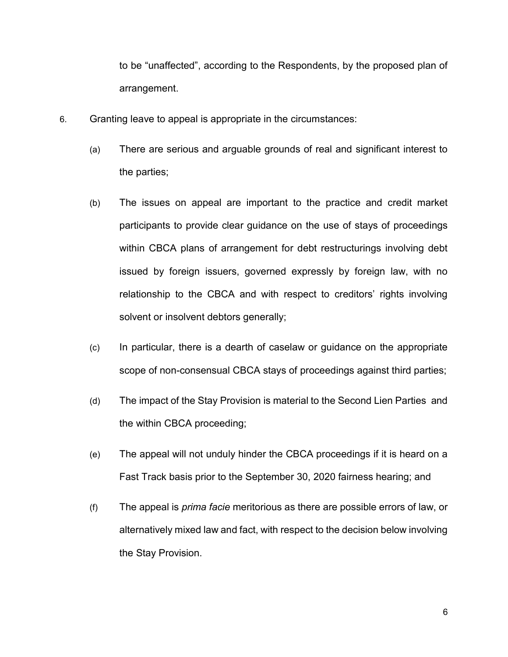to be "unaffected", according to the Respondents, by the proposed plan of arrangement.

- 6. Granting leave to appeal is appropriate in the circumstances:
	- (a) There are serious and arguable grounds of real and significant interest to the parties;
	- (b) The issues on appeal are important to the practice and credit market participants to provide clear guidance on the use of stays of proceedings within CBCA plans of arrangement for debt restructurings involving debt issued by foreign issuers, governed expressly by foreign law, with no relationship to the CBCA and with respect to creditors' rights involving solvent or insolvent debtors generally;
	- (c) In particular, there is a dearth of caselaw or guidance on the appropriate scope of non-consensual CBCA stays of proceedings against third parties;
	- (d) The impact of the Stay Provision is material to the Second Lien Parties and the within CBCA proceeding;
	- (e) The appeal will not unduly hinder the CBCA proceedings if it is heard on a Fast Track basis prior to the September 30, 2020 fairness hearing; and
	- (f) The appeal is prima facie meritorious as there are possible errors of law, or alternatively mixed law and fact, with respect to the decision below involving the Stay Provision.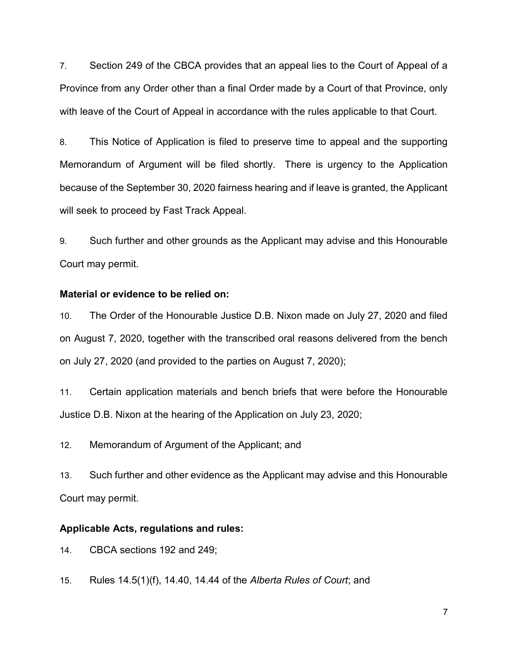7. Section 249 of the CBCA provides that an appeal lies to the Court of Appeal of a Province from any Order other than a final Order made by a Court of that Province, only with leave of the Court of Appeal in accordance with the rules applicable to that Court.

8. This Notice of Application is filed to preserve time to appeal and the supporting Memorandum of Argument will be filed shortly. There is urgency to the Application because of the September 30, 2020 fairness hearing and if leave is granted, the Applicant will seek to proceed by Fast Track Appeal.

9. Such further and other grounds as the Applicant may advise and this Honourable Court may permit.

## Material or evidence to be relied on:

10. The Order of the Honourable Justice D.B. Nixon made on July 27, 2020 and filed on August 7, 2020, together with the transcribed oral reasons delivered from the bench on July 27, 2020 (and provided to the parties on August 7, 2020);

11. Certain application materials and bench briefs that were before the Honourable Justice D.B. Nixon at the hearing of the Application on July 23, 2020;

12. Memorandum of Argument of the Applicant; and

13. Such further and other evidence as the Applicant may advise and this Honourable Court may permit.

#### Applicable Acts, regulations and rules:

14. CBCA sections 192 and 249;

15. Rules 14.5(1)(f), 14.40, 14.44 of the Alberta Rules of Court; and

7